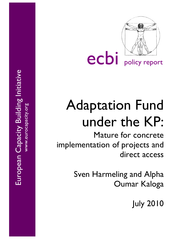

# Adaptation Fund under the KP :

Mature for concrete implementation o f projects and direct access

> Sven Harmeling and Alpha Oumar Kaloga

> > July 2010

European Capacity Building Initiative European Capacity Building Initiative  $\frac{1}{2}$  . The contract of  $\frac{1}{2}$  . The contract of  $\frac{1}{2}$ www.eurocapacity.org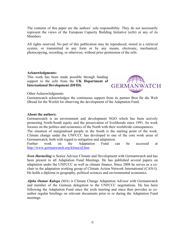The contents of this paper are the authors' sole responsibility. They do not necessarily represent the views of the European Capacity Building Initiative (ecbi) or any of its Members

All rights reserved. No part of this publication may be reproduced, stored in a retrieval system, or transmitted in any form or by any means, electronic, mechanical, photocopying, recording, or otherwise, without prior permission of the ecbi.

#### **Acknowledgments:**

This work has been made possible through funding support to the ecbi from the **UK Department of International Development (DFID)**.



Other Acknowledgments

Germanwatch acknowledges the continuous support from its partner Brot für die Welt (Bread for the World) for observing the development of the Adaptation Fund.

#### **About the authors:**

Germanwatch is an environment and development NGO which has been actively promoting North-South equity and the preservation of livelihoods since 1991. Its work focuses on the politics and economics of the North with their worldwide consequences. The situation of marginalised people in the South is the starting point of the work. Climate change under the UNFCCC has developed to one of the core work areas of Germanwatch, both with regard to mitigation and adaptation.

Further work on the Adaptation Fund can be accessed at http://www.germanwatch.org/klima/af.htm

*Sven Harmeling* is Senior Advisor Climate and Development with Germanwatch and has been present to all Adaptation Fund Meetings. He has published several papers on adaptation under the UNFCCC as well as climate finance. Since 2008 he serves as a cochair to the adaptation working group of Climate Action Network International (CAN-I). He holds a diploma in geography, political sciences and environmental economics.

*Alpha Oumar Kaloga* (MA) is Climate Change Adaptation Advisor with Germanwatch and member of the Guinean delegation to the UNFCCC negotiations. He has been following the Adaptation Fund since the sixth meeting and since then provides as coauthor regular briefings on relevant documents prior to or during the Adaptation Fund meetings.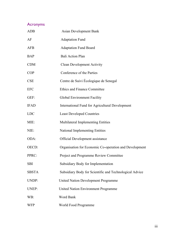## Acronyms

| <b>ADB</b>   | <b>Asian Development Bank</b>                           |
|--------------|---------------------------------------------------------|
| AF           | <b>Adaptation Fund</b>                                  |
| <b>AFB</b>   | <b>Adaptation Fund Board</b>                            |
| <b>BAP</b>   | <b>Bali Action Plan</b>                                 |
| <b>CDM</b>   | <b>Clean Development Activity</b>                       |
| <b>COP</b>   | Conference of the Parties                               |
| <b>CSE</b>   | Centre de Suivi Écologique de Senegal                   |
| <b>EFC</b>   | Ethics and Finance Committee                            |
| GEF:         | Global Environment Facility                             |
| <b>IFAD</b>  | International Fund for Agricultural Development         |
| <b>LDC</b>   | <b>Least Developed Countries</b>                        |
| MIE:         | Multilateral Implementing Entities                      |
| NIE:         | <b>National Implementing Entities</b>                   |
| ODA:         | Official Development assistance                         |
| OECD:        | Organisation for Economic Co-operation and Development  |
| PPRC:        | Project and Programme Review Committee                  |
| <b>SBI</b>   | Subsidiary Body for Implementation                      |
| <b>SBSTA</b> | Subsidiary Body for Scientific and Technological Advice |
| UNDP:        | <b>United Nation Development Programme</b>              |
| UNEP:        | United Nation Environment Programme                     |
| WB:          | Word Bank                                               |
| <b>WFP</b>   | World Food Programme                                    |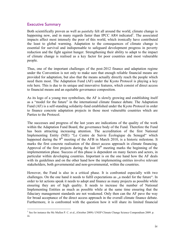## Executive Summary

Both scientifically proven as well as painfully felt all around the world, climate change is happening now, and in many regards faster than IPCC AR4 indicated<sup>1</sup>. The associated impacts affect most intensely the poor of this world, which ironically have contributed the least to global warming. Adaptation to the consequences of climate change is essential for survival and indispensable to safeguard development progress in poverty reduction and the fight against hunger. Strengthening their ability to adapt to the impact of climate change is realised as a key factor for poor countries and most vulnerable people.

Thus, one of the important challenges of the post-2012 finance and adaptation regime under the Convention is not only to make sure that enough reliable financial means are provided for adaptation, but also that the means actually directly reach the people which need them most. The Adaptation Fund (AF) under the Kyoto Protocol is playing a key role here. This is due to its unique and innovative features, which consist of direct access to financial means and an equitable governance composition.

As its logo of a young tree symbolises, the AF is slowly growing and establishing itself as a "model for the future" in the international climate finance debate. The Adaptation Fund (AF) is a self-standing solidarity-fund established under the Kyoto Protocol in order to finance concrete adaptation projects in those most vulnerable countries which are Parties to the Protocol.

The successes and progress of the last years are indications of the quality of the work within the Adaptation Fund Board, the governance body of the Fund. Therefore the Fund has been attracting increasing attention. The accreditation of the first National Implementing Entity (NIE) "Le Centre de Suivie Écologique du Senegal" which happened during the  $9<sup>th</sup>$  meeting of the AFB in March 2010, is a historic milestone. It marks the first concrete realisation of the direct access approach in climate financing. Approval of the first projects during the last  $10<sup>th</sup>$  meeting marks the beginning of the implementation phase. Success of this phase is dependent on many factors and actors, in particular within developing countries. Important is on the one hand how the AF deals with its guidelines and on the other hand how the implementing entities involve relevant stakeholders, both governmental and non-governmental, within the countries.

However, the Fund is also in a critical phase. It is confronted especially with two challenges. On the one hand it needs to fulfil expectations as , a model for the future". In order to let actions speak it needs to adopt and finance as many projects as possible while ensuring they are of high quality. It needs to increase the number of National Implementing Entities as much as possible while at the same time ensuring that the fiduciary management standards are not weakened. Only then can the AF pave the way for broad acceptance of the direct access approach in the overall climate finance debate. Furthermore, it is confronted with the question how it will share its limited financial

<sup>&</sup>lt;sup>1</sup> See for instance the Mc Mullen P. C. et al., (October 2009): UNEP Climate Change Science Compendium 2009. p. iii.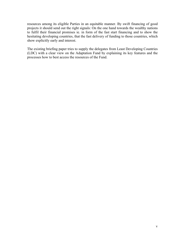resources among its eligible Parties in an equitable manner. By swift financing of good projects it should send out the right signals: On the one hand towards the wealthy nations to fulfil their financial promises ie. in form of the fast start financing and to show the hesitating developing countries, that the fast delivery of funding to those countries, which show explicitly early and interest.

The existing briefing paper tries to supply the delegates from Least Developing Countries (LDC) with a clear view on the Adaptation Fund by explaining its key features and the processes how to best access the resources of the Fund.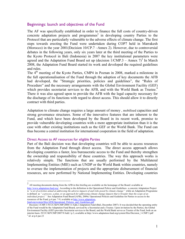## Beginnings: launch and objectives of the Fund

The AF was specifically established in order to finance the full costs of country-driven concrete adaptation projects and programmes<sup>2</sup> in developing country Parties to the Protocol that are particularly vulnerable to the adverse effects of climate change. The first steps towards erecting the Fund were undertaken during COP7 held in Marrakesh (Morocco) in the year 2001(Decision 10/CP.7 –Annex 2). However, due to controversial debates in the following years, only six years later at the third meeting of the Parties to the Kyoto Protocol in Bali (Indonesia) in 2007 the key institutional parameters were agreed and the Adaptation Fund Board set up (decision  $1/CMP.3 -$  Annex  $7)^3$  In March 2008, the Adaptation Fund Board started its work and developed the required guidelines and rules.

The 4<sup>th</sup> meeting of the Kyoto Parties, CMP4 in Poznan in 2008, marked a milestone in the full operationalisation of the Fund through the adoption of key documents the AFB had developed, the "Strategic priorities, policies and guidelines", the "Rules of Procedure" and the necessary arrangements with the Global Environment Facility (GEF) which provides secretariat services to the AFB, and with the World Bank as Trustee.<sup>4</sup> There it was also agreed upon to provide the AFB with the legal capacity necessary for the discharge of its functions with regard to direct access. This should allow it to directly contract with third parties.

Adaptation to climate change requires a large amount of money , mobilised capacities and strong governance structures. Some of the innovative features that are inherent to the Fund, and which have been developed by the Board in its recent work, promise to provide vulnerable developing countries with a more appropriate institution than it is the case with other existing institutions such as the GEF or the World Bank. The Fund can thus become a central institution for international cooperation in the field of adaptation.

#### Direct Access to AF resources for eligible Parties

Part of the Bali decision was that developing countries will be able to access resources from the Adaptation Fund through direct access. The direct access approach allows developing countries a faster, less bureaucratic access to the Fund and thereby strengthen the ownership and responsibility of these countries. The way this approach works is relatively simple. The functions that are usually performed by the Multilateral Implementing Entities (MIE) such as UNDP or the World Bank within countries, namely to oversee the implementation of projects and the appropriate disbursement of financial resources, are now performed by National Implementing Entities. Developing countries

 <sup>2</sup> All meeting documents dating from the AFB in this briefing are available on the homepage of the Board: available at

http://www.adaptation-fund.org/. According to the definition in the Operational Policie and Guidelines a concrete Adaptation Project is *"a set of activities aimed at addressing the adverse impacts of and risks posed by climate change"* while an Adaptation Programme is defined as *" a process, a plan, or an approach for addressing climate change impacts that is broader than the scope of an individual project."* See Adaptation Fund Board (AFB), 2009a: Operational Policies and Guideline for Parties to access to the resources of the Fund, p.4 par. 7-9, available at http://www.adaptationfund.org/system/files/AFB.Operational\_Policies\_and\_Guidelines.pdf

<sup>&</sup>lt;sup>3</sup> Decision 1/CMP.3 FCCC/KP/CMP/2008/11/Add.2 Adaptation Fund (Bali, December 2007): It was decided that the operating entity of the Fund would be the Adaptation Fund Board, serviced by a Secretariat and a Trustee. Upon invitation by the Parties, the Global Environment Facility (GEF) provides Secretariat services to the Board, and the World Bank serves as Trustee of the Fund, both on an interim basis. FCCC/KP/CMP/2007/9/Add.1 p.3, available at http://www.adaptation-fund.org/system/files/Decision\_1-CMP.3.pdf <sup>4</sup> *Id*. at p.6 par.23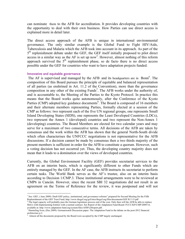can nominate them to the AFB for accreditation. It provides developing countries with the opportunity to deal with their own business. How Parties can use direct access is explained more in detail later.

The direct access approach of the AFB is unique in international environmental governance. The only similar example is the Global Fund to Fight HIV/Aids, Tuberculosis and Malaria which the AFB took into account in its approach. As part of the  $5<sup>th</sup>$  replenishment debate under the GEF, the GEF itself initially proposed to pilot direct  $access$  in a similar way as the AF is set up now<sup>5</sup>. However, almost nothing of this reform approach survived the  $5<sup>th</sup>$  replenishment phase, so de facto there is no direct access possible under the GEF for countries who want to have adaptation projects funded.

#### Innovative and equitable governance

The AF is supervised and managed by the AFB and its headquarters are in Bonn<sup>6</sup>. The composition of this Board pursues the principle of equitable and balanced representation of all parties (as enshrined in Art. 11.2 of the Convention), more than the governance composition in any other of the existing Funds<sup>7</sup>. The AFB works under the authority of, and is accountable to, the Meeting of the Parties to the Kyoto Protocol. In practice this means that the Board works quite autonomously, after the Conference of the Kyoto Parties (CMP) adopted key guidance documents<sup>8</sup>. The Board is composed of 16 members and their alternate members representing Parties, formally elected at a session of the CMP as follows: two represent each of the five UN regional groups, one represents Small Island Developing States (SIDS), one represents the Least Developed Countries (LDCs), two represent the Annex 1 (developed) countries and two represent the Non-Annex 1 (developing) countries. The Board Members are elected for two calendar years and may serve for a maximum of two consecutive terms. All decisions of the AFB are taken by consensus and the work within the AFB has shown that the general North-South divide which often characterises the UNFCCC negotiations is not representative for the AFB discussions. If a decision cannot be made by consensus then a two thirds majority of the present members is sufficient in order for the AFB to constitute a quorum. However, such a voting decision has not occurred yet. Thus, the developing country majority does not mean that it leads to a domination over the views of developed countries.

Currently, the Global Environment Facility (GEF) provides secretariat services to the AFB on an interim basis, which is significantly different to other Funds which are entirely managed by the GEF. In the AF case, the AFB instructs its secretariat to perform certain tasks. The World Bank serves as the AF's trustee, also on an interim basis according to Decision 1/CMP.3. These institutional arrangements were to be reviewed at CMP6 in Cancún. However, since the recent SBI 32 negotiations did not result in an agreement on the Terms of Reference for the review, it was postponed and will not

 <sup>5</sup>  $<sup>5</sup>$  See: GEF, (June 2009): Draft GEF policy, institutional, and governance reforms" prepared for Second Meeting for the Fifth</sup> Replenishment of the GEF Trust Fund; http://www.thegef.org/gef/sites/thegef.org/files/documents/GEF.R.5.15.pdf

<sup>6</sup> :The legal capacity will probably pass the German legislature process end of the year. Only then will the AFB be able to replace MoUs with Implementing Entities with a normal contract. See Report of the Adaptation Fund Board: FCCC/KP/CMP/2009/14,

available at: http://www.adaptation-fund.org/system/files/AFB%20report.pdf .<br><sup>7</sup> Harmeling Sven, (Dec.2009): Germanwatch Discussion paper: The Adaptation Fund in the debate on the post-2012 financial architecture p.2.

<sup>&</sup>lt;sup>8</sup> Almost all the documents proposed by the Board were accepted by the CMP largely unchanged.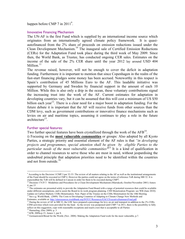happen before CMP 7 in  $2011^9$ .

#### Innovative Financing Mechanism

The UN-AF is the first Fund which is supplied by an international income source which originates from an internationally agreed climate policy framework. It is quasiautofinanced from the 2% share of proceeds on emission reductions issued under the Clean Development Mechanism.10 The inaugural sale of Certified Emission Reductions (CERs) for the Adaptation Fund took place during the third week of May 2009. Since then, the World Bank, as Trustee, has conducted ongoing CER sales. Estimates on the income of the sale of the 2% CER share until the year 2012 lay around USD 404 Million. $11$ 

The revenue raised, however, will not be enough to cover the deficit in adaptation funding. Furthermore it is important to mention that since Copenhagen in the realm of the fast-start financing pledges some money has been accrued. Noteworthy in this respect is Spain's contribution of 45 Millions Euro to the AF. This laudable initiative was supported by Germany and Sweden by financial support in the amount of each 10 Million. While this is also only a drip in the ocean, these voluntary contributions signal the increasing trust into the work of the AF. Current estimates for adaptation in developing countries vary, but it can be assumed that this will cost a minimum of US \$50 billion each year<sup>12</sup>. There is a clear need for a major boost in adaptation funding. For the future debate it is important that the AF will receive funds from other sources than the CDM levy, such as government contributions or innovative finance mechanisms such as levies on air and maritime topics, assuming it continues to play a role in the future architecture $13$ .

#### Further special features:

Two further special features have been crystallized through the work of the  $AFB<sup>14</sup>$ .

i) Focusing on the **most vulnerable communities** or groups: Also adopted by all Kyoto Parties, a strategic priority and essential element of the AF rules is that *"in developing projects and programmes, special attention shall be given by eligible Parties to the particular needs of the most vulnerable communities"*15 It is a kind of qualification in order to channel resources to serve those who are most in need, without jeopardising the undoubted principle that adaptation priorities need to be identified within the countries and not from outside.<sup>16</sup>

Estimates, available at: http://siteresources.worldbank.org/INTCC/Resources/EACCExecutiveSummaryFinal.pdf

<sup>-&</sup>lt;br>9  $9$  According to the Decision 1/CMP.3 par 32-33: The review of all matters relating to the AF as well as the institutional arrangements of the Fund should be executed in CMP 6. However the parties could not agree on the terms of reference ToR during SBI 32. It is expectedthat the ToR will be defined in Cancun in order for them to be executed during CMP7.

<sup>&</sup>lt;sup>10</sup> Decision 17/CP.7: Modalities and Procedures for a Clean Development Mechanism (Marrakesh, October/November 2001) Annex 4, par.15

<sup>&</sup>lt;sup>11</sup> The estimates are presented solely to provide the Adaptation Fund Board with a range of potential resources that could be available under different assumptions, and to assist the Board in its work program planning. CER Monetization Program: see WB (June 2010): Update on Carbon Markets: CERs Monetisation. Non- Paper of the Trustee on the CERs Monetisation for the 10th Meeting.<br><sup>12</sup> See e.g. World Bank, (2009): The Costs to Developing Countries of Adapting to Climate Change New Me

<sup>&</sup>lt;sup>13</sup> During the review of AF in SBI 32, the LDC have prepared a percentage for levy on air und transport in addition to the 2% CERs CDM activities which were provided for the fund. As the review was postponed until CMP 7 in 2011, there is the possibility to fully reflect on this suggestion, cope with reasonable exceptions and reach a text that is acceptable to all Parties 14 Harmeling, (Dec 2009): p. 3

<sup>15</sup>AFB, 2009a:p.15, Annex 1, par 8.

<sup>&</sup>lt;sup>16</sup> Germanwatch/Bread for the World, (Nov. 2008): Making the Adaptation Fund work for the most vulnerable, p.7.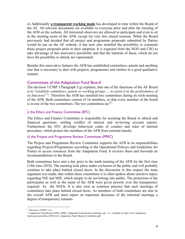ii) Additionally **a transparent working mode** has developed in time within the Board of the AF. All relevant documents are available to everyone prior and after the meeting of the AFB on the website. All interested observers are allowed to participate and even to sit in the meeting room of the AFB, except for very few closed sessions. While the Board previously had decided that all project and programme proposals submitted by Parties would be put on the AF website, it has now also installed the possibility to comment those project proposals prior to their adoption. It is expected from the NGO and CSO to take advantage of this innovative possibility and that the interests of those, which do not have the possibility to attend, are represented.

Besides this innovative features the AFB has established committees, panels and anything else that is necessary to deal with projects, programmes and entities in a good qualitative manner.

## Committees of the Adaptation Fund Board

The decision 1/CMP.3 Paragraph 5.g) explains, that one of the functions of the AF Board is to "*establish committees, panels or working groups .....to assist it in the performance of its functions<sup>17</sup>*". Therefore the AFB has installed two committees during its sixth meeting of the AFB. Both committees consist of 16 members, so that every member of the board is in one of the two committees. The two committees are  $18$ :

## i) the Ethics and Finance Committee (EFC)

The Ethics and Finance Committee is responsible for assisting the Board in ethical and financial questions, settling conflict of interest and reviewing account reports. Furthermore the EFC develops behaviour codes of conduct and rules of internal procedure, which protect the members of the AFB from external attacks.

## ii) the Project and Programme Review Committee (PPRC)

The Project and Programme Review Committee supports the AFB in its responsibilities regarding Projects/Programmes according to the Operational Policies and Guidelines for Parties to access resources from the Adaptation Fund. It reviews these and forwards its recommendations to the Board.

Both committees have met a day prior to the tenth meeting of the AFB for the first time (14th June 2010). The meeting took place under exclusion of the public and will probably continue to take place behind closed doors. In the discussion in this respect the main argument was made, that within these committees it is often spoken about sensitive topics regarding NIE and MIE, which simply to do not belong into public. The protection of the participants as well as the name of the AFB were given priority over the transparency required by the NGOs. It is also seen as common practice that such meetings of committees take place behind closed doors. As members of both committees are also in the overall AFB and must report on important decisions of the informal meetings a degree of transparency remains.

<sup>&</sup>lt;sup>17</sup> Decision 1/CMP/3 p.4

<sup>&</sup>lt;sup>18</sup> Adaptation Fund Board (AFB), 2009b: Adaptation Fund Board Committee, pp. 1-3, available at: http://www.adaptation-

fund.org/system/files/AFB.B.6.6\_Adaptation\_Fund\_Board\_Committees.pdf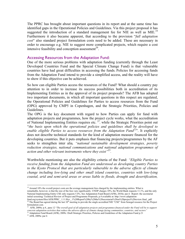The PPRC has brought about important questions in its report and at the same time has identified gaps in the Operational Policies and Guidelines. Via this project proposal it has suggested the introduction of a standard management fee for NIE as well as MIE.<sup>19</sup> Furthermore it also became apparent, that according to the provision "*full adaptation cost*" also standard project formulation costs need to be added. These are necessary in order to encourage e.g. NIE to suggest more complicated projects, which require a cost intensive feasibility and conception assessment<sup>20</sup>.

### Accessing Resources from the Adaptation Fund:

One of the more serious problems with adaptation funding (currently through the Least Developed Countries Fund and the Special Climate Change Fund) is that vulnerable countries have had great difficulties in accessing the funds. Policies for accessing funds from the Adaptation Fund intend to provide a simplified access, and the reality will have to show if this objective can be achieved.

So how can eligible Parties access the resources of the Fund? What should a country pay attention to in order to increase its success possibilities both in accreditation of its Implementing Entities as in the approval of its project proposals? The AFB has adopted two important documents, in which all important questions in this respect are regulated, the Operational Policies and Guidelines for Parties to access resources from the Fund (OPG) approved by CMP5 in Copenhagen, and the Strategic Priorities, Policies and Guidelines.

The OPG is the key document with regard to how Parties can apply for fund with adaptation projects and programmes, how the project cycle works, what the accreditation of National Implementing Entities requires etc. *<sup>21</sup>*. while the Strategic Priorities point out "*the basis upon which the operational policies and guidelines shall be developed to*  enable eligible Parties to access resources from the *Adaptation Fund*<sup>22</sup>". It explicitly does not describe technical standards for the kind of adaptation measure financed for the developing countries. But it puts emphasis that financing projects/programmes by the AF seeks to strengthen inter alia*, "national sustainable development strategies, poverty reduction strategies, national communications and national adaptation programmes of action and other relevant instruments where they exist"*<sup>23</sup>*.*

Worthwhile mentioning are also the eligibility criteria of the Fund: *"Eligible Parties to receive funding from the Adaptation Fund are understood as developing country Parties to the Kyoto Protocol that are particularly vulnerable to the adverse effects of climate change including low-lying and other small island countries, countries with low-lying coastal, arid and semi-arid areas or areas liable to floods, drought and desertification,* 

<sup>&</sup>lt;sup>19</sup> Around 10% the overall project costs are the average management fees charged by the implementing entities. What is remarkable, however, is that the size of the fees vary significantly. UNDP charges 10%, the World Bank requests 11.1%, and the only National Implementing Entity CSE only requests 5.4%. See Adapatation Fund Board (AFB), 2010a: par.4. Report: the secretariat initial screening/ Technical Review of Project and Programme Proposals, p.4 available at: http://www.adaptation-

fund.org/system/files/AFB.PPRC\_.1.11.Rev\_.1%20Report%20by%20the%20secretariat%20on%20project%20review.final\_.pdf. <sup>20</sup> The Board has agreed during the last 10<sup>th</sup> meeting to provide the single accredited NIE "CSE" from Senegal resource for the Project formulation cost.

<sup>21</sup> AFB, 2009a: p.4., para 12 "*The overall goal of all adaptation projects and programmes financed under the Fund will be to support concrete adaptation activities that reduce the adverse effects of climate change facing communities, countries, and sectors"* <sup>22</sup> Adaptation Fund Board (AFB), 2009c: Draft Strategic Priorities, Policies and Guidelines of the Adaptation Fund p.21

<sup>23</sup> AFB, 2009a: par 6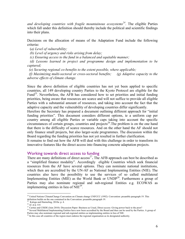*and developing countries with fragile mountainous ecosystems*<sup>24</sup>. The eligible Parties which fall under this definition should thereby include the political and scientific findings into their plans.

Decisions on the allocation of means of the Adaptation Fund include the following criteria**:**

(*a) Level of vulnerability;* 

 *(b) Level of urgency and risks arising from delay;* 

 *(c) Ensuring access to the fund in a balanced and equitable manner;* 

 *(d) Lessons learned in project and programme design and implementation to be captured;* 

 *(e) Securing regional co-benefits to the extent possible, where applicable;* 

 *(f) Maximizing multi-sectoral or cross-sectoral benefits; (g) Adaptive capacity to the adverse effects of climate change.*

Since the above definition of eligible countries has not yet been applied to specific countries, all 149 developing country Parties to the Kyoto Protocol are eligible for the Fund<sup>25</sup>. Nevertheless, the AFB has considered how to set priorities and initial funding priorities, being aware that resources are scarce and will not suffice to provide all eligible Parties with a substantial amount of resources, and taking into account the fact that the adaptive capacity and the vulnerability of developing countries differ significantly.

Herefore the Secretary has prepared a document outlining different approach for "initial funding priorities". This document considers different options, ie a uniform cap per country among all eligible Parties or variable caps taking into account the specific circumstances of certain groups, countries and projects<sup>26</sup>. The problem is on the one hand that there is the difficulty of scarce resources. And on the other hand the AF should not only finance small projects, but also larger-scale programmes. The discussion within the Board regarding the funding priorities has not yet resulted in further clarification.

It remains to find out how the AFB will deal with this challenge in order to transform its innovative features like the direct access into financing concrete adaptation projects.

## Working towards direct access to funding

There are many definitions of direct access<sup>27</sup>. The AFB approach can best be described as a "simplified finance modality". Accordingly eligible Countries which seek financial resources from the AF have several options. They can nominate national institutions, which then are accredited by the UN-AF as National Implementing Entities (NIE). The countries also have the possibility to use the services of so called multilateral Implementing Entities (MIE) as the World Bank or UNDP<sup>28</sup>. Furthermore a group of Parties may also nominate regional and sub-regional Entities e.g. ECOWAS as implementing entities in lieu of  $NIE^{29}$ .

<sup>&</sup>lt;sup>24</sup> United Nations ClimateChange Convention on Climate change UNFCCC (1992): Convention: preamble paragraph 19. This definition builds on the one contained in the Convention: preamble paragraph 19.

<sup>&</sup>lt;sup>25</sup> Kaloga and Harmeling, 2010a: p. 4.

<sup>26</sup> *Id*. at p. 4-6

<sup>&</sup>lt;sup>27</sup> Caritas and CISDE (Juin 2010): Discussion Paper: Business as Usual, Direct access: Giving power back to the poor?

<sup>&</sup>lt;sup>28</sup> Several Multilateral Implementing Entities have now been accredited by the Board and thus can be used by the Parties. A group of Parties may also nominate regional and sub-regional entities as implementing entities in lieu of NIE.

 $^{29}$  In this case all countries of the region must endorse the regional organisation as its designated authority.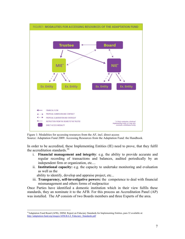

Figure 1: Modalities for accessing resources from the AF, incl. direct access Source: Adaptation Fund 2009: Accessing Resources from the Adaptation Fund: the Handbook.

In order to be accredited, these Implementing Entities (IE) need to prove, that they fulfil the accreditation standards.<sup>30</sup>

- i. **Financial management and integrity**: e.g. the ability to provide accurate and regular recording of transactions and balances, audited periodically by an independent firm or organization, etc....
- ii. **Institutional capacity:** e.g. the capacity to undertake monitoring and evaluation as well as the

ability to identify, develop and appraise project, etc...

iii. **Transparency, self-investigative powers:** the competence to deal with financial mismanagement and others forms of malpractice

Once Parties have identified a domestic institution which in their view fulfils these standards, they an nominate it to the AFB. For this process an Accreditation Panel (AP) was installed. The AP consists of two Boards members and three Experts of the area.

<sup>&</sup>lt;sup>30</sup>Adaptation Fund Board (AFB), 2009d: Report on Fiduciary Standards for Implementing Entities, para 32 available at: http://adaptation-fund.org/images/AFB.B.6.4\_Fiduciary\_Standards.pdf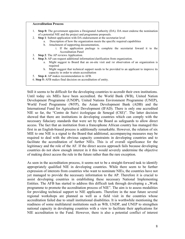#### **Accreditation Process**

- 1. **Step 0:** The government appoints a Designated Authority (DA). DA must endorse the nomination of a potential NIE and the project and programme proposals.
- 2. **Step 1**: Submit application with DA endorsement at the secretariat level
	- a. Description of how the organization meets the specific required capabilities
	- b. Attachment of supporting documentation,
		- i. If the application package is complete the secretariat foward it to the Accreditation Panel
- 3. **Step 2**: The AP reviews Application.
- 4. **Step 3:** AP can request additional information/clarification from organization.
	- a. Might suggest to Board that an on-site visit and /or observation of an organization is required
	- b. Might suggest that technical support needs to be provided to an applicant to improve its capacity in order to attain accreditation
- 5. **Step 4:** AP makes recommendation to AFB.
- 6. **Step 5:** AFB makes final decision on accreditation of entity.

Still it seems to be difficult for the developing countries to accredit their own institutions. Until today six MIEs have been accredited. the World Bank (WB), United Nation Development Programme (UNDP), United Nations Environment Programme (UNEP), World Food Programme (WFP), the Asian Development Bank (ADB) and the International Fund for Agricultural Development (IFAD). There is only one accredited NIE so far, the "Centre de Suivi écologique de Senegal (CSE)". The latter decision showed that there are institutions in developing countries which can comply with the necessary fiduciary standards that were set by the Board as safeguards to allow direct access. The fact that an institution from a francophone African country has managed this first in an English-biased process is additionally remarkable. However, the relation of six MIE to one NIE is a signal to the Board that additional, accompanying measures may be required to deal with the obvious capacity constraints in developing countries and to facilitate the accreditation of further NIEs. This is of overall significance for the legitimacy and the role of the AF. If the direct access approach fails because developing countries do not show enough interest in it this would severely undermine the objective of making direct access the rule in the future rather than the rare exception.

As seen in the accreditation process, it seems not to be a straight-forward task to identify appropriately qualified NIE in developing countries. While there seem to be further expression of interests from countries who want to nominate NIEs, the countries have not yet managed to provide the necessary information to the AP. Therefore it is crucial to assist developing countries in establishing these necessary National Implementing Entities. The AFB has started to address this difficult task through developing a  $\mathcal{N}$  Work programme to promote the accreditation process of NIE". The aim is to assess modalities for providing technical support to NIE applicants. Therefore in the near future several regional workshops are planned as well as a field visit in the countries whose accreditation failed due to small institutional disabilities. It is worthwhile mentioning the readiness of some multilateral institutions such as WB, UNDP, and UNEP to strengthen national capacity in developing countries with a view to facilitate their applications for NIE accreditation to the Fund. However, there is also a potential conflict of interest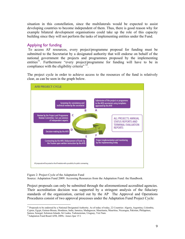situation in this constellation, since the multilaterals would be expected to assist developing countries to become independent of them. Thus, there is good reason why for example bilateral development organisations could take up the role of this capacity building since they will not perform the tasks of implementing entities under the Fund.

## Applying for funding

 To access AF resources, every project/programme proposal for funding must be submitted to the Secretariat by a designated authority that will endorse on behalf of the national government the projects and programmes proposed by the implementing entities<sup>31</sup>. Furthermore "every project/programme for funding will have to be in compliance with the eligibility criteria" 32.

The project cycle in order to achieve access to the resources of the fund is relatively clear, as can be seen in the graph below.



Figure 2: Project Cycle of the Adaptation Fund

Source: Adaptation Fund 2009: Accessing Resources from the Adaptation Fund: the Handbook.

Project proposals can only be submitted through the aforementioned accredited agencies. Their accreditation decision was supported by a stringent analysis of the fiduciary standards of the organization, carried out by the AP The Approval and Operations Procedures consist of two approval processes under the Adaptation Fund Project Cycle:

<sup>&</sup>lt;sup>31</sup> Proposals to be endorsed by a National Designated Authority. As of today of today, 22 Countries: Algeria, Argentina, Colombia, Cyprus, Egypt, Guinea-Bissau, Honduras, India, Jamaica, Madagascar, Mauritania, Mauritius, Nicaragua, Pakistan, Philippines, Samoa, Senegal, Solomon Islands, Sri Lanka, Turkmenistan, Uruguay, Viet Nam.

<sup>32</sup>Adaptation Fund Board AFB, 2009c: Annex Ipar 15 I.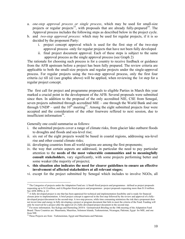- a. *one-step approval process or single process*, which may be used for small-size projects or regular projects<sup>33</sup>, with proposals that are already fully-prepared<sup>34</sup>. The Approval process includes the following steps as described below in the project cycle.
- b. and *two-step approval process:* which may be used for regular projects, if it is so decided by the proponent Party:
	- i. project concept approval which is used for the first step of the two-step approval process -only for regular projects that have not been fully developed
	- ii. final project document approval. Each of these steps is subject to the same approval process as the single approval process (see Graph 2)

The rationale for choosing such process is for a country to receive feedback or guidance from the AFB upstream before a project has been fully prepared. The review criteria are applicable to both the small-size projects and regular projects under the single-approval process. For regular projects using the two-step approval process, only the first four criteria *(a)* till *(d)* (see graphic above) will be applied, when reviewing the 1st step for a regular project concept.

The first call for project and programme proposals to eligible Parties in March this year marked a crucial point in the development of the AFB. Several proposals were submitted since then. In addition to the proposal of the only accredited NIE, CSE from Senegal, seven projects submitted through accredited MIE – one through the World Bank and one through UNDP – until the  $10^{th}$  meeting<sup>35</sup>. Among the eight submitted projects four were accepted and the consideration of the other fourwere reffered to next session, due to insufficient information<sup>36</sup>.

Generally one could summarise as follows:

- i. the submitted projects cover a range of climate risks, from glacier lake outburst floods to droughts and floods and sea-level rise;
- ii. six out of the eight projects would be based in coastal regions, addressing sea-level rise and other coastal climate risks;
- iii. developing countries from all world regions are among the first proponents;
- iv. the way that certain aspects are addressed, in particular the need to pay particular attention to the **needs of the most vulnerable communities and to meaningfully consult stakeholders**, vary significantly, with some projects performing better and some weaker (the majority of projects);
- **v. this situation also indicates the need for clearer guidelines to ensure an effective involvement of affected stakeholders at all relevant stages;**
- vi. except for the project submitted by Senegal which includes to involve NGOs, all

<sup>&</sup>lt;sup>33</sup> The Categories of projects under the Adaptation Fund are: i) Small-Sized projects and programmes : defined as project proposals requesting up to \$1.0 million, and ii) Regular-Sized projects and programmes : project proposals requesting more than \$1.0 million. See AFB 2009a: p. 22

<sup>&</sup>lt;sup>34</sup> A fully developed project is one that has been appraised for technical and implementation feasibility and is ready for financial closure prior to implementation. A brief project concept is approved in the first step followed by the review and approval of a fullydeveloped project/document in the second-step. A two-step process, while time consuming minimizes the risk that a proponent does not invest time and energy in fully developing a project or program document that fails to meet the criteria of the Fund. Funding will only be reserved for a project after the approval of a fully-developed project document in the second step.

<sup>&</sup>lt;sup>35</sup> For more information. See Kaloga and Harmeling 2010 b: Germanwatch Briefing on the 10th meeting of the Adaptation Fund Board. These Countries are: Mauritania, Mauritius, Solomon Islands, Turkmenistan, Nicaragua, Pakistan, Egypt fro MIE, and one from NIE.

<sup>&</sup>lt;sup>36</sup> These Projects are from : Turkmenistan, Egypt and Mauritania and Pakistan.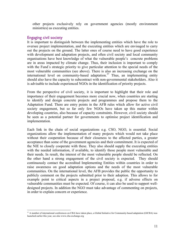other projects exclusively rely on government agencies (mostly environment ministries) as executing entities.

## Engaging civil society

It is important to distinguish between the implementing entities which have the role to oversee project implementation, and the executing entities which are envisaged to carry out the projects on the ground. The latter ones of course need to have good experience with development and adaptation projects, and often civil society and local community organisations have best knowledge of what the vulnerable people's concrete problems are in areas impacted by climate change. Thus, their inclusion is important to comply with the Fund´s strategic priority to give particular attention to the special needs of the most vulnerable communities (see above). There is also an increasing exchange on the international level on community-based adaptation.<sup>37</sup> Thus, an implementing entity should also have the capacity to subcontract with non-governmental stakeholders. Also it is advisable to include experienced NGOs in the identification of priority projects.

From the perspective of civil society, it is important to highlight that their role and importance of their engagement becomes more crucial now, when countries are starting to identify and design concrete projects and programmes and propose them to the Adaptation Fund. There are entry points in the AFB rules which allow for active civil society engagement, but so far only few NGOs have taken up this matter within developing countries, also because of capacity constraints. However, civil society should be seen as a potential partner for governments to optimise project identification and implementation.

Each link in the chain of social organizations e.g. CSO, NGO, is essential. Social organizations allow the implementation of many projects which would not take place without their cooperation because of their closeness to the affected parties, a greater acceptance than some of the government agencies and their commitment. It is expected of the NIE to closely cooperate with these. They also should supply the executing entities with the needed information, if available, to identify those people most vulnerable and their needs. In result, the interest of the most vulnerable people should be reflected. On the other hand a strong engagement of the civil society is expected. They should continuously contact the accredited Implementing Entities within countries in order to raise awareness on good adaptation options and the needs of the most vulnerable communities. On the international level, the AFB provides the public the opportunity to publicly comment on the projects submitted prior to their adoption. This allows to for example point to critical aspects in a project proposal, e.g. if adverse effects on vulnerable communities must be expected. Of course, it can also be used to support welldesigned projects. In addition the NGO must take advantage of commenting on projects, in order to explain concern or experience.

<sup>&</sup>lt;sup>37</sup> A number of international conferences on CBA have taken place, a Global Initiative for Community-based adaptation (GICBA) was launched earlier this year, see also www.cba-exchange.org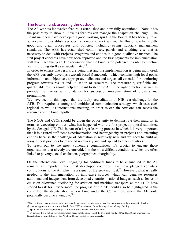## The future Fund: assessing the outlook

The AF with its innovative feature is established and now fully operational. Now it has the possibility to show all how its features can manage the adaptation challenge. The Board members have developed a good working spirit in the Board. It has been quite an achievement to establish a proper framework to work within. The Board now has mostly good and clear procedures and policies, including strong fiduciary management standards. The AFB has established committees, panels and anything else that is necessary to deal with Projects, Programs and entities in a good qualitative manner. The first project concepts have now been approved and the first payments for implementation will take place this year. The accusation that the Fund is too polarised in order to function well is proving itself as unsubstantiated<sup>38</sup>.

In order to ensure that results are being met and the implementation is being monitored, the AFB currently develops a "result based framework", which contains high-level goals, information and objectives, appropriate indicators and targets, all essential for monitoring progress towards results and utilisation of resources. The measurable, verifiable and quantifiable results should help the Board to steer the AF in the right direction, as well as provide the Parties with guidance for successful implementation of projects and programmes.

We have seen in this paper, that the faulty accreditation of NIE is a challenge for the AFB. This requires a strong and ambitioned communication strategy, which uses each regional as well as international meeting, in order to explain how one can access the resources of the Fund rapidly.

The NGOs and CSOs should be given the opportunity to demonstrate their maturity in terms as executing entities, what has happened with the first project proposal submitted by the Senegal NIE. This is part of a larger learning process in which it is very important that it is assured sufficient experimentation and heterogeneity in projects and executing entities because the challenge of adaptation is relatively new and we need to build an array of best practices to be scaled up quickly and widespread to other countries.

To reach out to the most vulnerable communities, it's crucial to engage those organisations that already are embedded in the most difficult conditions, which are often linked to poverty, social exclusion, geographical marginality.

On the international level, engaging for additional funds to be channelled to the AF remains an important task. First developed countries have now pledged voluntary contributions to the AF which is a signal of the growing trust.<sup>39</sup> However, what is really needed is the implementation of innovative sources which can generate resources additional and independent from developed countries´ national budgets, such as levies or emission allowance auctioning for aviation and maritime transport, as the LDCs have started to ask for. Furthermore, the progress of the AF should also be highlighted in the context of the debate about a new Fund under the Convention, where the AF could potentially become a window.<sup>40</sup>

<sup>&</sup>lt;sup>38</sup> Such criticism may be strategically motivated by developed countries who may feel that it is not in their interest to develop alternative approaches to the current World Bank/GEF architecture for delivering climate change funding.<br><sup>39</sup> Spain: 45 million Euro; Germany: 10 million Euro; Sweden: 10 million Euro

<sup>&</sup>lt;sup>40</sup> Of course, this is not an easy debate which needs to take into account the two-track reality (KP and LCA) and other aspects. Nevertheless, a strong future for the AF should be advocated for progressively.